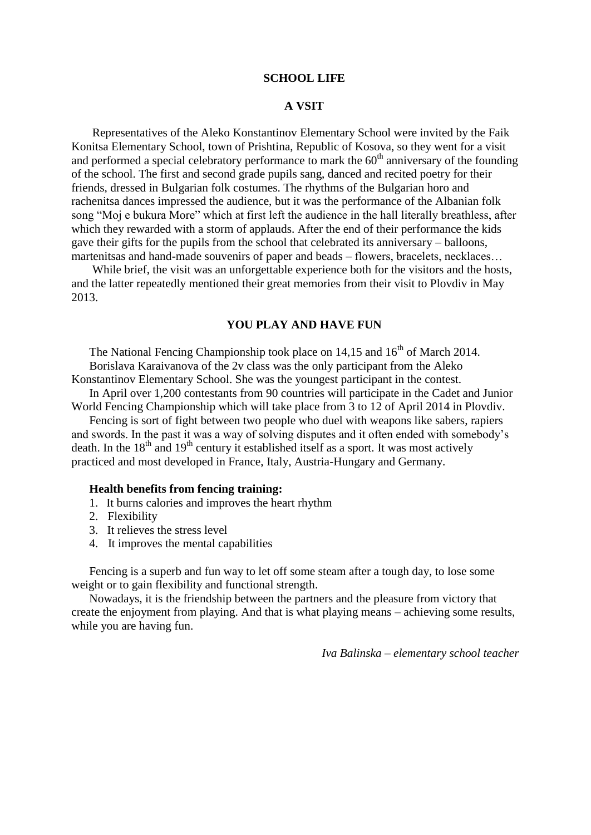#### **SCHOOL LIFE**

# **A VSIT**

 Representatives of the Aleko Konstantinov Elementary School were invited by the Faik Konitsa Elementary School, town of Prishtina, Republic of Kosova, so they went for a visit and performed a special celebratory performance to mark the  $60<sup>th</sup>$  anniversary of the founding of the school. The first and second grade pupils sang, danced and recited poetry for their friends, dressed in Bulgarian folk costumes. The rhythms of the Bulgarian horo and rachenitsa dances impressed the audience, but it was the performance of the Albanian folk song "Moj e bukura More" which at first left the audience in the hall literally breathless, after which they rewarded with a storm of applauds. After the end of their performance the kids gave their gifts for the pupils from the school that celebrated its anniversary – balloons, martenitsas and hand-made souvenirs of paper and beads – flowers, bracelets, necklaces…

 While brief, the visit was an unforgettable experience both for the visitors and the hosts, and the latter repeatedly mentioned their great memories from their visit to Plovdiv in May 2013.

### **YOU PLAY AND HAVE FUN**

The National Fencing Championship took place on  $14,15$  and  $16<sup>th</sup>$  of March 2014. Borislava Karaivanova of the 2v class was the only participant from the Aleko

Konstantinov Elementary School. She was the youngest participant in the contest.

In April over 1,200 contestants from 90 countries will participate in the Cadet and Junior World Fencing Championship which will take place from 3 to 12 of April 2014 in Plovdiv.

 Fencing is sort of fight between two people who duel with weapons like sabers, rapiers and swords. In the past it was a way of solving disputes and it often ended with somebody's death. In the  $18<sup>th</sup>$  and  $19<sup>th</sup>$  century it established itself as a sport. It was most actively practiced and most developed in France, Italy, Austria-Hungary and Germany.

#### **Health benefits from fencing training:**

- 1. It burns calories and improves the heart rhythm
- 2. Flexibility
- 3. It relieves the stress level
- 4. It improves the mental capabilities

Fencing is a superb and fun way to let off some steam after a tough day, to lose some weight or to gain flexibility and functional strength.

Nowadays, it is the friendship between the partners and the pleasure from victory that create the enjoyment from playing. And that is what playing means – achieving some results, while you are having fun.

*Iva Balinska – elementary school teacher*